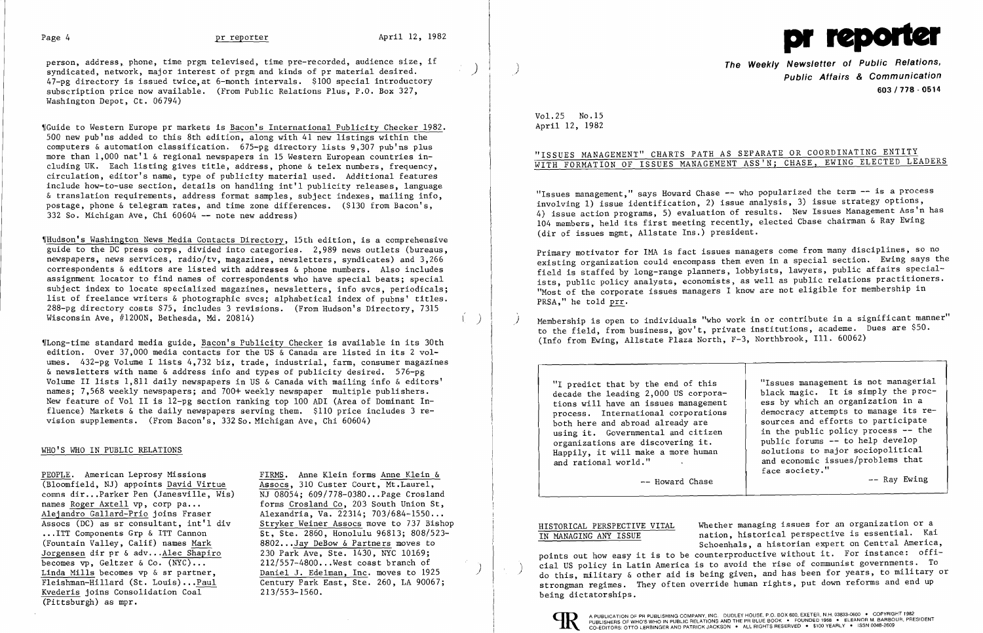

person, address, phone, time prgm televised, time pre-recorded, audience size, if syndicated, network, major interest of prgm and kinds of pr material desired. 47-pg directory is issued twice,at 6-month intervals. \$100 special introductory subscription price now available. (From Public Relations Plus, P.O. Box 327, Washington Depot, Ct. 06794)

,rGuide to Western Europe pr markets is Bacon's International Publicity Checker 1982. 500 new pub'ns added to this 8th edition, along with 41 new listings within the computers  $\&$  automation classification. 675-pg directory lists 9,307 pub'ns plus more than 1,000 nat'l & regional newspapers in 15 Western European countries including UK. Each listing gives title, address, phone & telex numbers, frequency, circulation, editor's name, type of publicity material used. Additional features include how-to-use section, details on handling int'l publicity releases, language & translation requirements, address format samples, subject indexes, mailing info, postage, phone & telegram rates, and time zone differences. (\$130 from Bacon's, 332 So. Michigan Ave, Chi 60604 -- note new address)

WHudson's Washington News Media Contacts Directory, 15th edition, is a comprehensive guide to the DC press corps, divided into categories. 2,989 news outlets (bureaus, newspapers, news services, radio/tv, magazines, newsletters, syndicates) and 3,266 correspondents & editors are listed with addresses & phone numbers. Also includes assignment locator to find names of correspondents who have special beats; special subject index to locate specialized magazines, newsletters, info svcs, periodicals; list of freelance writers & photographic svcs; alphabetical index of pubns' titles. 288-pg directory costs \$75, includes 3 revisions. (From Hudson's Directory, 7315 Wisconsin Ave, #1200N, Bethesda, Md. 20814)

Wlong-time standard media guide, Bacon's Publicity Checker is available in its 30th edition. Over 37,000 media contacts for the US & Canada are listed in its 2 volumes. 432-pg Volume I lists 4,732 biz, trade, industrial, farm, consumer magazines & newsletters with name & address info and types of publicity desired. 576-pg Volume II lists 1,811 daily newspapers in US & Canada with mailing info & editors' names; 7,568 weekly newspapers; and 700+ weekly newspaper multiple publishers. New feature of Vol II is 12-pg section ranking top 100 ADI (Area of Dominant Influence) Markets & the daily newspapers serving them. \$110 price includes 3 revision supplements. (From Bacon's, 33280. Michigan Ave, Chi 60604)

PEOPLE. American Leprosy Missions<br>
(Bloomfield, NJ) appoints David Virtue<br>
Assocs, 310 Custer Court, Mt.Laurel,  $(B$ loomfield, NJ) appoints David Virtue comms dir...Parker Pen (Janesville, Wis) MJ 08054; 609/778-0380...Page Crosland names Roger Axtell vp. corp pa... forms Crosland Co. 203 South Union St. Alejandro Gallard-Prio joins Fraser (Alexandria, Va. 22314; 703/684-1550...<br>Assocs (DC) as sr consultant, int'l div (Stryker Weiner Assocs move to 737 Bisho ... ITT Components Grp & ITT Cannon 5t, Ste. 2860, Honolulu 96813; 808/523-(Fountain Valley, Calif) names Mark 8802 ..•Jay DeBow & Partners moves to Jorgensen dir pr & adv...Alec Shapiro 230 Park Ave, Ste. 1430, NYC 10169;<br>becomes vp, Geltzer & Co. (NYC)... 212/557-4800...West coast branch of becomes vp, Geltzer & Co.  $(NYC)$ ... 212/557-4800... West coast branch of Linda Mills becomes vp & sr partner, Daniel J. Edelman, Inc. moves to 192 Fleishman-Hillard (St. Louis) ••. Paul Century Park East, Ste. 260, LA 90067; Kvederis joins Consolidation Coal (Pittsburgh) as mpr.

forms Crosland Co, 203 South Union St, Assocs (DC) as sr consultant, int'l div<br>
...ITT Components Grp & ITT Cannon<br>
St, Ste. 2860, Honolulu 96813; 808/523-Daniel J. Edelman, Inc. moves to 1925  $213/553 - 1560$ .

The Weekly Newsletter of Public Relations,<br>Public Affairs & Communication 603/778 - 0514

"ISSUES MANAGEMENT" CHARTS PATH AS SEPARATE OR COORDINATING ENTITY WITH FORMATION OF ISSUES MANAGEMENT ASS'N; CHASE, EWING ELECTED LEADERS

"Issues management," says Howard Chase -- who popularized the term -- is a process involving 1) issue identification, 2) issue analysis, 3) issue strategy options, 4) issue action programs, 5) evaluation of results. New Issues Management Ass'n has 104 members, held its first meeting recently, elected Chase chairman & Ray Ewing (dir of issues mgmt, Allstate Ins.) president.

Primary motivator for lMA is fact issues managers come from many disciplines, so no existing organization could encompass them even in a special section. Ewing says the field is staffed by long-range planners, lobbyists, lawyers, public affairs specialists, public policy analysts, economists, as well as public relations practitioners. "Most of the corporate issues managers I know are not eligible for membership in PRSA." he told prr.

Membership is open to individuals "who work in or contribute in a significant manner" to the field, from business, gov't, private institutions, academe. Dues are \$50. (Info from Ewing, Allstate Plaza North, F-3, Northbrook, Ill. 60062)

tions will have an issues management | ess by which an organization in a process. International corporations | democracy attempts to manage its r both here and abroad already are <br>using it. Governmental and citizen in the public policy process -- the using it. Governmental and citizen  $\left\{\n\begin{array}{ccc}\n & \text{in the public policy process } \text{--} \text{ the} \\
 & \text{the public formulas } \text{--} \text{--} \text{--} \text{the} \\
\end{array}\n\right\}$ Happily, it will make a more human and rational world."

### WHO'S WHO IN PUBLIC RELATIONS

"I predict that by the end of this  $\frac{1}{1}$  "Issues management is not managerial decade the leading 2,000 US corpora-<br>black magic. It is simply the procblack magic. It is simply the procdemocracy attempts to manage its republic forums -- to help develop<br>solutions to major sociopolitical and economic issues/problems that face society."

-- Howard Chase  $\overline{\phantom{a}}$   $\overline{\phantom{a}}$   $\overline{\phantom{a}}$   $\overline{\phantom{a}}$   $\overline{\phantom{a}}$   $\overline{\phantom{a}}$   $\overline{\phantom{a}}$   $\overline{\phantom{a}}$   $\overline{\phantom{a}}$   $\overline{\phantom{a}}$   $\overline{\phantom{a}}$   $\overline{\phantom{a}}$   $\overline{\phantom{a}}$   $\overline{\phantom{a}}$   $\overline{\phantom{a}}$   $\overline{\phantom{a}}$   $\overline{\phantom{a}}$   $\$ 

HISTORICAL PERSPECTIVE VITAL Whether managing issues for an organization or a IN MANAGING ANY ISSUE hation, historical perspective is essential. Kai Schoenhals, a historian expert on Central America, points out how easy it is to be counterproductive without it. For instance: official US policy in Latin America is to avoid the rise of communist governments. To<br>do this, military & other aid is being given, and has been for years, to military or strongman regimes. They often override human rights, put down reforms and end up being dictatorships.



)

)

Vol. 25 No.15 April 12, 1982

)